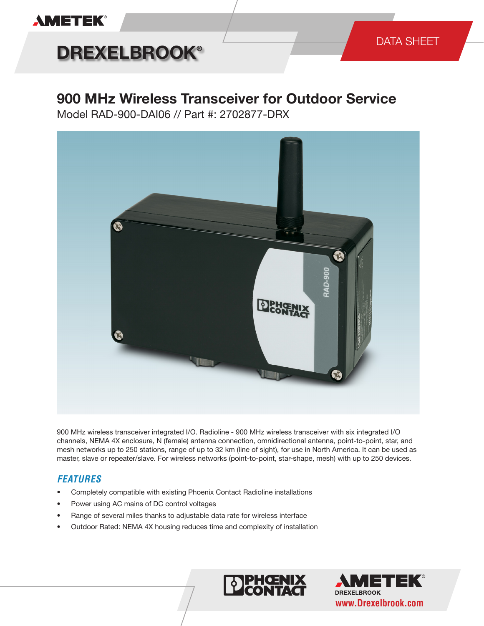### **AMETEK®**

# **DREXELBROOK®**

### **900 MHz Wireless Transceiver for Outdoor Service**

Model RAD-900-DAI06 // Part #: 2702877-DRX



900 MHz wireless transceiver integrated I/O. Radioline - 900 MHz wireless transceiver with six integrated I/O channels, NEMA 4X enclosure, N (female) antenna connection, omnidirectional antenna, point-to-point, star, and mesh networks up to 250 stations, range of up to 32 km (line of sight), for use in North America. It can be used as master, slave or repeater/slave. For wireless networks (point-to-point, star-shape, mesh) with up to 250 devices.

### *FEATURES*

- Completely compatible with existing Phoenix Contact Radioline installations
- Power using AC mains of DC control voltages
- Range of several miles thanks to adjustable data rate for wireless interface
- Outdoor Rated: NEMA 4X housing reduces time and complexity of installation



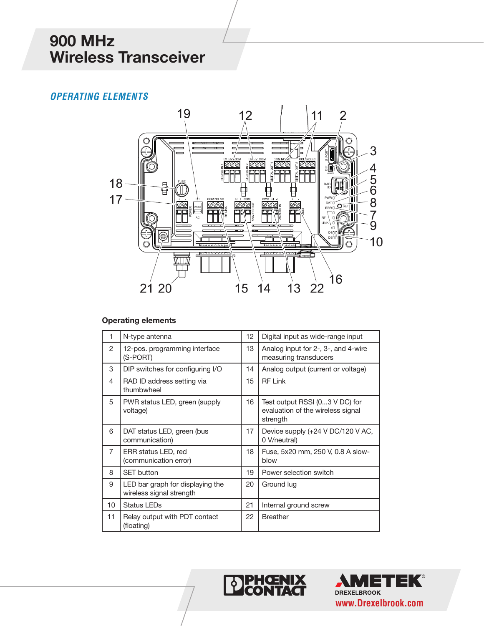### *OPERATING ELEMENTS*



#### **Operating elements**

| 1               | N-type antenna                                               | 12 | Digital input as wide-range input                                               |
|-----------------|--------------------------------------------------------------|----|---------------------------------------------------------------------------------|
| 2               | 12-pos. programming interface<br>(S-PORT)                    | 13 | Analog input for 2-, 3-, and 4-wire<br>measuring transducers                    |
| 3               | DIP switches for configuring I/O                             | 14 | Analog output (current or voltage)                                              |
| 4               | RAD ID address setting via<br>thumbwheel                     | 15 | <b>RF Link</b>                                                                  |
| 5               | PWR status LED, green (supply<br>voltage)                    | 16 | Test output RSSI (03 V DC) for<br>evaluation of the wireless signal<br>strength |
| 6               | DAT status LED, green (bus<br>communication)                 | 17 | Device supply (+24 V DC/120 V AC,<br>0 V/neutral)                               |
| $\overline{7}$  | ERR status LED, red<br>(communication error)                 | 18 | Fuse, 5x20 mm, 250 V, 0.8 A slow-<br>blow                                       |
| 8               | <b>SET button</b>                                            | 19 | Power selection switch                                                          |
| 9               | LED bar graph for displaying the<br>wireless signal strength | 20 | Ground lug                                                                      |
| 10 <sup>1</sup> | <b>Status LEDs</b>                                           | 21 | Internal ground screw                                                           |
| 11              | Relay output with PDT contact<br>(floating)                  | 22 | <b>Breather</b>                                                                 |



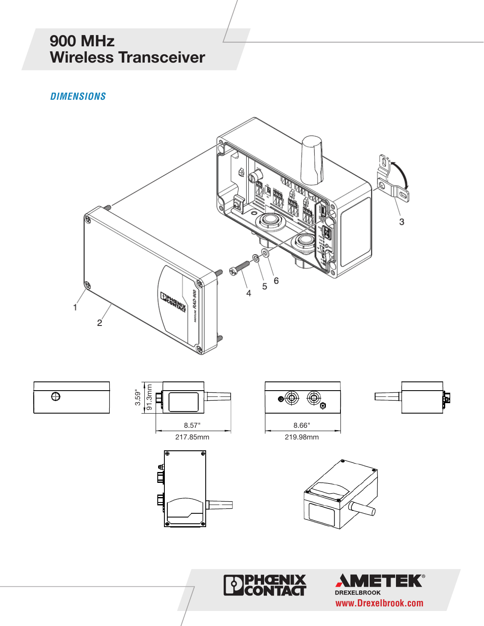*DIMENSIONS*











**PHŒN<br>ICONTA** 

X

 $\overline{\bm{b}}$ 





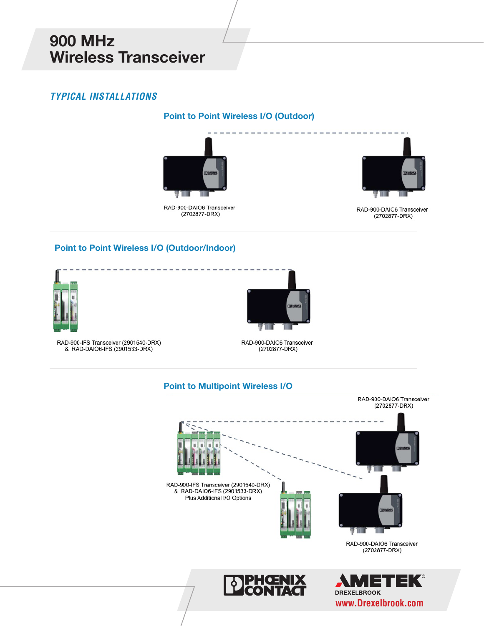### *TYPICAL INSTALLATIONS*

#### **Point to Point Wireless I/O (Outdoor)**



RAD-900-DAIO6 Transceiver (2702877-DRX)



RAD-900-DAIO6 Transceiver (2702877-DRX)

#### **Point to Point Wireless I/O (Outdoor/Indoor)**



RAD-900-IFS Transceiver (2901540-DRX) & RAD-DAIO6-IFS (2901533-DRX)



RAD-900-DAIO6 Transceiver (2702877-DRX)

#### **Point to Multipoint Wireless I/O**



**DREXELBROOK www.Drexelbrook.com**